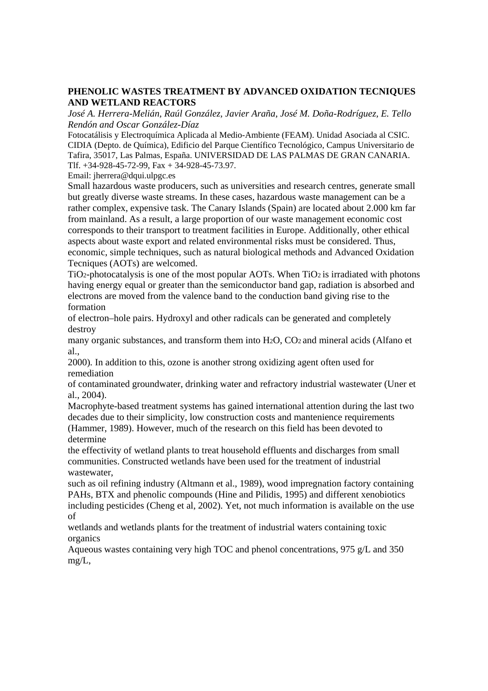## **PHENOLIC WASTES TREATMENT BY ADVANCED OXIDATION TECNIQUES AND WETLAND REACTORS**

*José A. Herrera-Melián, Raúl González, Javier Araña, José M. Doña-Rodríguez, E. Tello Rendón and Oscar González-Díaz* 

Fotocatálisis y Electroquímica Aplicada al Medio-Ambiente (FEAM). Unidad Asociada al CSIC. CIDIA (Depto. de Química), Edificio del Parque Científico Tecnológico, Campus Universitario de Tafira, 35017, Las Palmas, España. UNIVERSIDAD DE LAS PALMAS DE GRAN CANARIA. Tlf. +34-928-45-72-99, Fax + 34-928-45-73.97.

Email: jherrera@dqui.ulpgc.es

Small hazardous waste producers, such as universities and research centres, generate small but greatly diverse waste streams. In these cases, hazardous waste management can be a rather complex, expensive task. The Canary Islands (Spain) are located about 2.000 km far from mainland. As a result, a large proportion of our waste management economic cost corresponds to their transport to treatment facilities in Europe. Additionally, other ethical aspects about waste export and related environmental risks must be considered. Thus, economic, simple techniques, such as natural biological methods and Advanced Oxidation Tecniques (AOTs) are welcomed.

 $TiO<sub>2</sub>$ -photocatalysis is one of the most popular AOTs. When  $TiO<sub>2</sub>$  is irradiated with photons having energy equal or greater than the semiconductor band gap, radiation is absorbed and electrons are moved from the valence band to the conduction band giving rise to the formation

of electron–hole pairs. Hydroxyl and other radicals can be generated and completely destroy

many organic substances, and transform them into H2O, CO2 and mineral acids (Alfano et al.,

2000)*.* In addition to this, ozone is another strong oxidizing agent often used for remediation

of contaminated groundwater, drinking water and refractory industrial wastewater (Uner et al., 2004).

Macrophyte-based treatment systems has gained international attention during the last two decades due to their simplicity, low construction costs and mantenience requirements (Hammer, 1989). However, much of the research on this field has been devoted to determine

the effectivity of wetland plants to treat household effluents and discharges from small communities. Constructed wetlands have been used for the treatment of industrial wastewater,

such as oil refining industry (Altmann et al., 1989), wood impregnation factory containing PAHs, BTX and phenolic compounds (Hine and Pilidis, 1995) and different xenobiotics including pesticides (Cheng et al, 2002). Yet, not much information is available on the use of

wetlands and wetlands plants for the treatment of industrial waters containing toxic organics

Aqueous wastes containing very high TOC and phenol concentrations, 975 g/L and 350 mg/L,